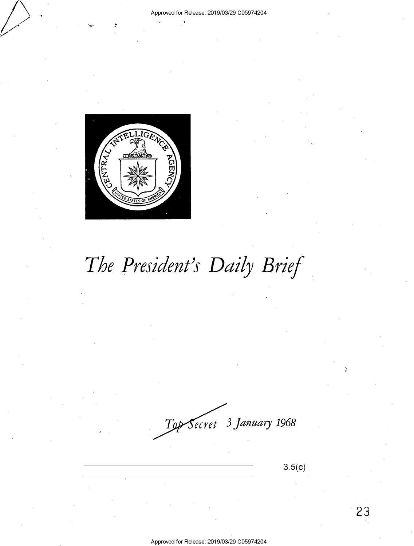

..... ,

# The President's Daily Brief

*ecret 3 January* **1968**   $19$ 

3.5(c)

**23**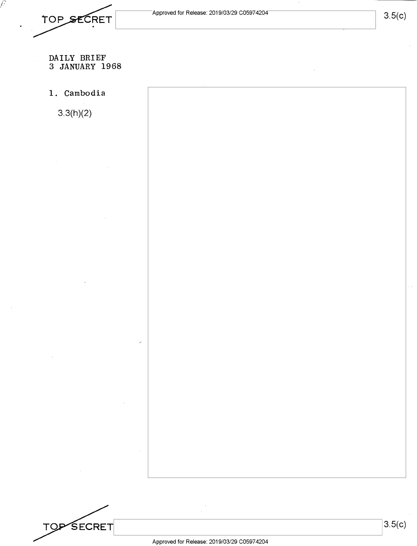TOP SECRET

Ρ

### **DAILY BRIEF 3 JANUARY 1968**

# **1. Cambodia 3.3(h)(2)**

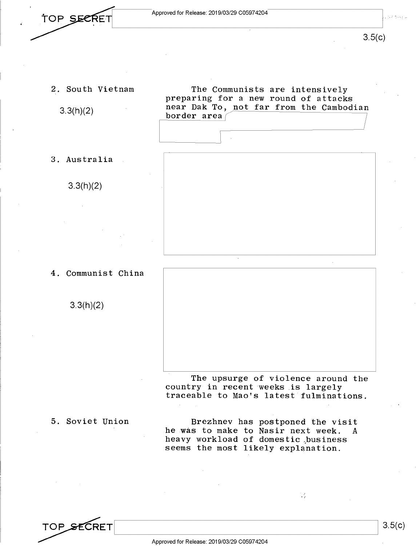3.5(c)

2. South Vietnam

3.3(h)(2)

3. Australia

3.3(h)(2)

The Communists are intensively preparing for a new round of attacks near Dak To, not far from the Cambodian border area *(* /



4. Communist China

3.3(h)(2)

The upsurge of violence around the country in recent weeks .is largely traceable to Mao's latest fulminations.

5. Soviet Union

Brezhnev has postponed the visit he was to make to Nasir next week. A heavy workload of domestic business seems the most likely explanation.

 $\mathbb{R}^2$ 

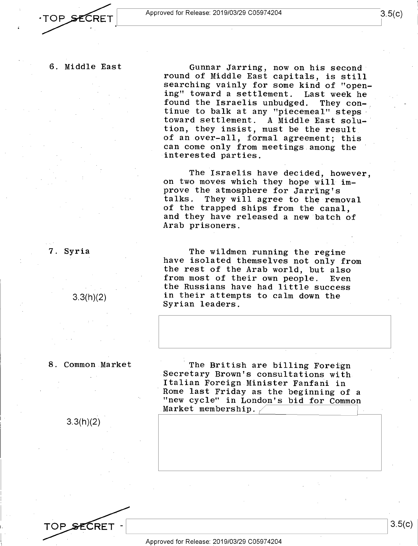# TOP SECRET

6. Middle East

Gunnar Jarring, now on his second round of Middle East capitals, is still searching vainly for some kind of "opening" toward a settlement. Last week he found the Israelis unbudged. They continue to balk at any "piecemeal" steps · toward settlement. A Middle East solution, they insist, must be the result of an over-all, formal agreement; this can come only from meetings among the interested parties.

The Israelis have decided, however, on two moves which they hope will improve the atmosphere for Jarring's talks. They will agree to the removal of the trapped ships from the canal, and they have released a new batch of Arab prisoners.

The wildmen running the regime have isolated themselves not only from the rest of the Arab world, but also from most of their own people. Even the Russians have had little success in their attempts to calm down the Syrian leaders.

8. Common Market

3.3(h)(2)

7. Syria

3.3(h)(2)

TOP SECRET

I. Į. I

The British are billing Foreign Secretary Brown's consultations with Italian Foreign Minister Fanfani in Rome last Friday as the beginning of a "new cycle" in London's bid for Common Market membership.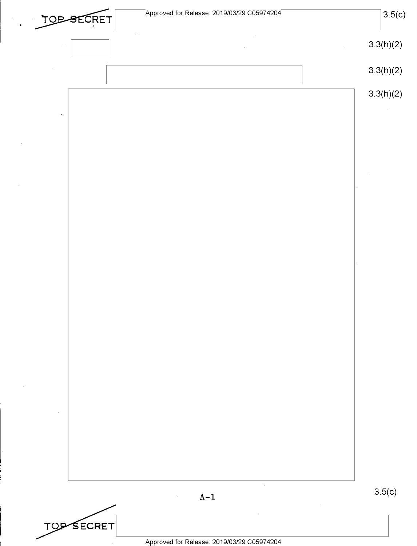| TOPSECRET | $^{-}$ Approved for Release: 2019/03/29 C05974204 $^{-}$ | 3.5(c)    |
|-----------|----------------------------------------------------------|-----------|
|           | $\sim$                                                   | 3.3(h)(2) |
|           |                                                          | 3.3(h)(2) |
|           |                                                          | 3.3(h)(2) |
| ×         |                                                          |           |
|           |                                                          |           |
|           |                                                          |           |
|           |                                                          |           |
|           |                                                          |           |
|           |                                                          |           |
|           |                                                          |           |
|           |                                                          |           |
|           |                                                          |           |
|           |                                                          |           |
|           |                                                          |           |
|           |                                                          |           |
|           |                                                          |           |
|           | $\mathcal{L}$                                            |           |
|           | $A-1$                                                    | 3.5(c)    |

 $\sim$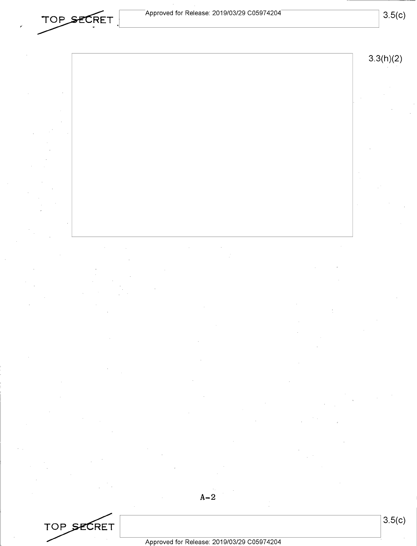



**A-2** 



Approved for Release: 2019/03/29 C0597 4204

**3.5(c)**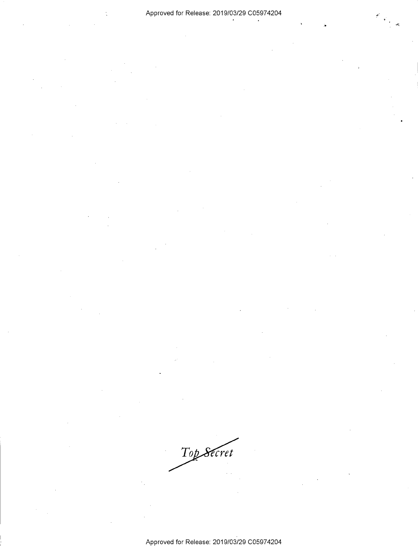Top Secret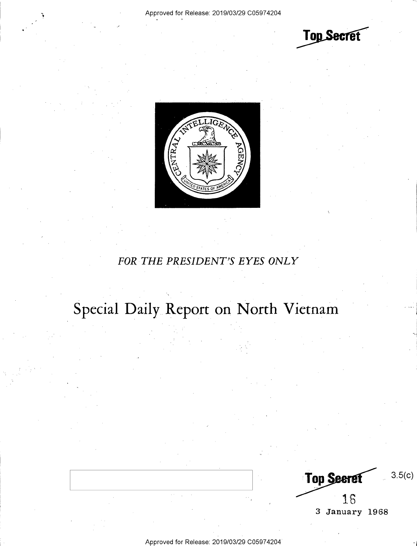**Top Secret** 



## *FOR THE PRESIDENT'S EYES ONLY*

# **Special Daily Report on North Vietnam**

3.5(c) **Top Seeret** 1S **3 January 1968** 

Approved for Release: 2019/03/29 C0597 4204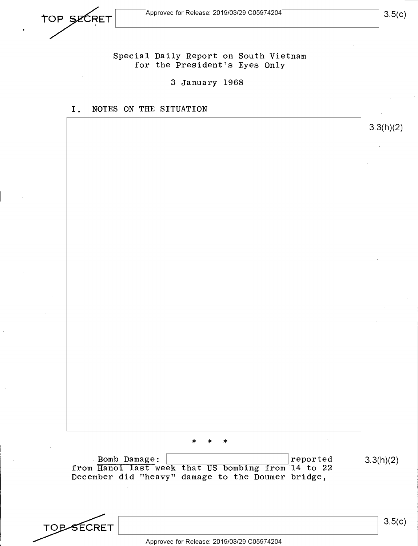

Special Daily Report on South Vietnam for the President's Eyes Only

3 January 1968

I. NOTES ON THE SITUATION

3.3(h)(2) \* \* \* Bomb Damage:  $\vert$  | reported from Hanoi last week that US bombing from 14 to 22 3.3(h)(2) December did "heavy" damage to the Doumer bridge, 3.5(c) **TOP-SECRET**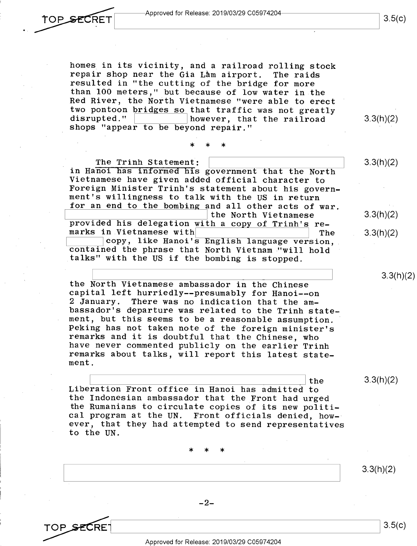homes in its vicinity, and a railroad rolling stock<br>repair shop near the Gia Lam airport. The raids repair shop near the Gia Lam airport. resulted in "the cutting of the bridge for more than 100 meters," but because of low water in the Red River, the North Vietnamese "were able to erect two pontoon bridges so that traffic was not greatly disrupted." however, that the railroad shops "appear to be beyond repair."

# \* \* \*

The Trinh Statement: in Hanoi has informed his government that the North Vietnamese have given added official character to Foreign Minister Trinh's statement about his government's willingness to talk with the US in return for an end to the bombing and all other acts of war.  $\begin{array}{|l|} \hline \texttt{provided his delegation with a copy of Trinh's re-} \hline \end{array}$ the North Vietnamese marks in Vietnamese with The copy, like Hanoi's English language version, contained the phrase that North Vietnam "Will hold talks" with the US if the bombing is stopped.

the North Vietnamese ambassador in the Chinese capital left hurriedly--presumably for Hanoi--on There was no indication that the ambassador's departure was related to the Trinh statement, but this seems to be a reasonable assumption. Peking has not taken note of the foreign minister's remarks and it is doubtful that the Chinese, who have never commented publicly on the earlier Trinh remarks about talks, will report this latest statement.

Letter Front office in Housi has a dutation of the Liberation Front office in Hanoi has admitted to the Indonesian ambassador that the Front had urged the Rumanians to circulate copies of its new politi-<br>cal program at the UN. Front officials denied, how-Front officials denied, however, that they had attempted to send representatives to the UN.

\* \* \*

3.3(h)(2)

-2-

**TOP SECRE** 3.5(c)

3.3(h)(2)

3.3(h)(2)

3.3(h)(2)

3.3(h)(2)

3.3(h)(2)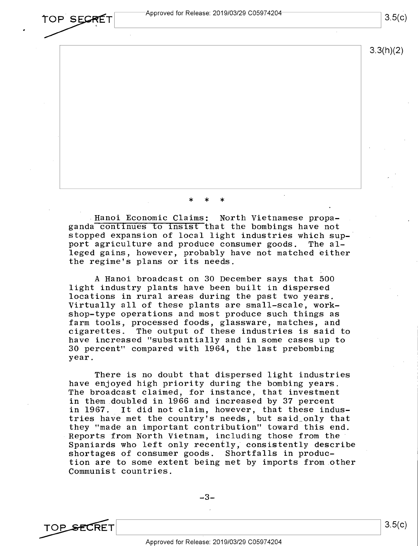Approved for Release: 2019/03/29 C05974204-TOP SECRET Approved for Release: 2019/03/29 C05974204 3.5(c)

I

3.3(h)(2)

\* \* \*

Hanoi Economic Claims: North Vietnamese propaganda continues to insist that the bombings have not stopped expansion of local light industries which support agriculture and produce consumer goods. leged gains, however, probably have not matched either the regime's plans or its needs.

A Hanoi broadcast on 30 December says that 500 light industry plants have been built in dispersed locations in rural areas during the past two years. Virtually all of these plants are small-scale, workshop-type operations and most produce such things as farm tools, processed foods, glassware, matches, and cigarettes. The output of these industries is said The output of these industries is said to have increased "substantially and in some cases up to 30 percent" compared with 1964, the last prebombing year.

There is no doubt that dispersed light industries have enjoyed high priority during the bombing years. The broadcast claimed, for instance, that investment in them doubled in 1966 and increased by 37 percent in 1967. It did not claim, however, that these industries have met the country's needs, but said\_only that they "made an important contribution" toward this end. Reports from North Vietnam, including those from the Spaniards who left only recently, consistently describe shortages of consumer goods. Shortfalls in production are to some extent being met by imports from other Communist countries.

-3-

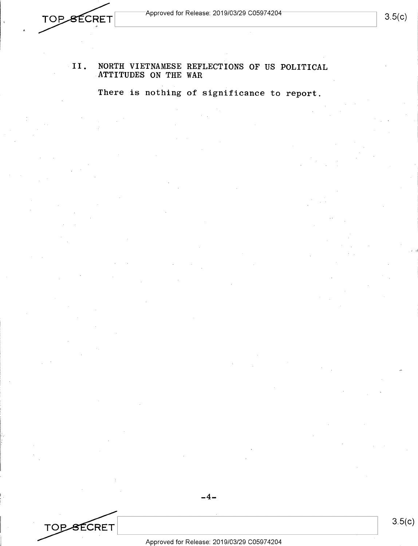**TOP SECRET** 

### II. **NORTH VIETNAMESE REFLECTIONS OF US POLITICAL ATTITUDES ON THE WAR**

**There is nothing of significance to report.** 

**TOP SECRET** 

*:* ,)